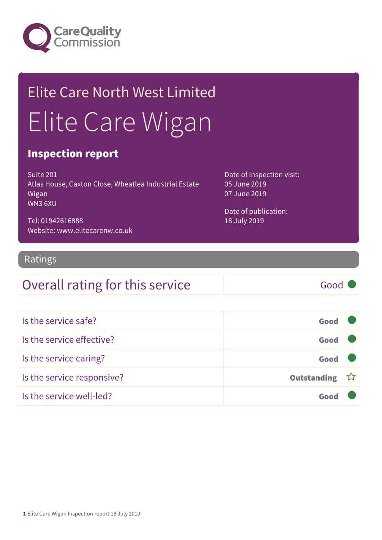

## Elite Care North West Limited Elite Care Wigan

#### Inspection report

Suite 201 Atlas House, Caxton Close, Wheatlea Industrial Estate Wigan WN3 6XU

Tel: 01942616888 Website: www.elitecarenw.co.uk Date of inspection visit: 05 June 2019 07 June 2019

Date of publication: 18 July 2019

#### Ratings

### Overall rating for this service Good

| Is the service safe?       | Good          |  |
|----------------------------|---------------|--|
| Is the service effective?  | Good          |  |
| Is the service caring?     | Good          |  |
| Is the service responsive? | Outstanding ☆ |  |
| Is the service well-led?   |               |  |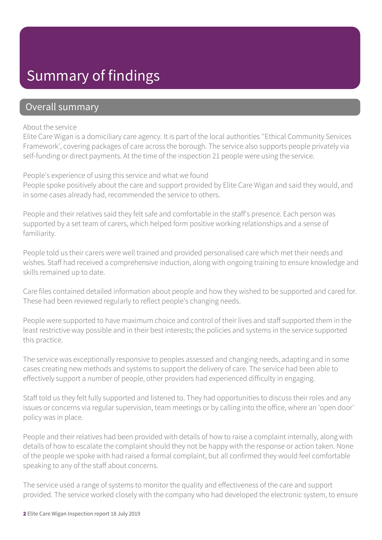### Summary of findings

#### Overall summary

#### About the service

Elite Care Wigan is a domiciliary care agency. It is part of the local authorities ''Ethical Community Services Framework', covering packages of care across the borough. The service also supports people privately via self-funding or direct payments. At the time of the inspection 21 people were using the service.

People's experience of using this service and what we found

People spoke positively about the care and support provided by Elite Care Wigan and said they would, and in some cases already had, recommended the service to others.

People and their relatives said they felt safe and comfortable in the staff's presence. Each person was supported by a set team of carers, which helped form positive working relationships and a sense of familiarity.

People told us their carers were well trained and provided personalised care which met their needs and wishes. Staff had received a comprehensive induction, along with ongoing training to ensure knowledge and skills remained up to date.

Care files contained detailed information about people and how they wished to be supported and cared for. These had been reviewed regularly to reflect people's changing needs.

People were supported to have maximum choice and control of their lives and staff supported them in the least restrictive way possible and in their best interests; the policies and systems in the service supported this practice.

The service was exceptionally responsive to peoples assessed and changing needs, adapting and in some cases creating new methods and systems to support the delivery of care. The service had been able to effectively support a number of people, other providers had experienced difficulty in engaging.

Staff told us they felt fully supported and listened to. They had opportunities to discuss their roles and any issues or concerns via regular supervision, team meetings or by calling into the office, where an 'open door' policy was in place.

People and their relatives had been provided with details of how to raise a complaint internally, along with details of how to escalate the complaint should they not be happy with the response or action taken. None of the people we spoke with had raised a formal complaint, but all confirmed they would feel comfortable speaking to any of the staff about concerns.

The service used a range of systems to monitor the quality and effectiveness of the care and support provided. The service worked closely with the company who had developed the electronic system, to ensure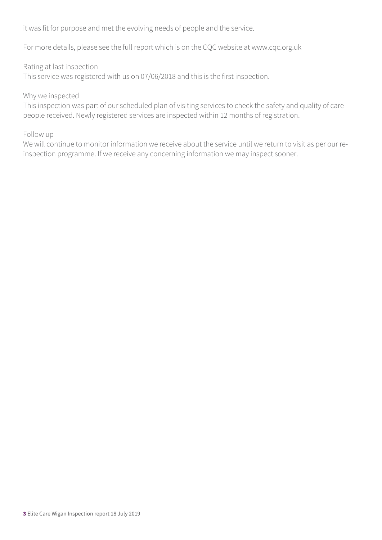it was fit for purpose and met the evolving needs of people and the service.

For more details, please see the full report which is on the CQC website at www.cqc.org.uk

#### Rating at last inspection

This service was registered with us on 07/06/2018 and this is the first inspection.

#### Why we inspected

This inspection was part of our scheduled plan of visiting services to check the safety and quality of care people received. Newly registered services are inspected within 12 months of registration.

#### Follow up

We will continue to monitor information we receive about the service until we return to visit as per our reinspection programme. If we receive any concerning information we may inspect sooner.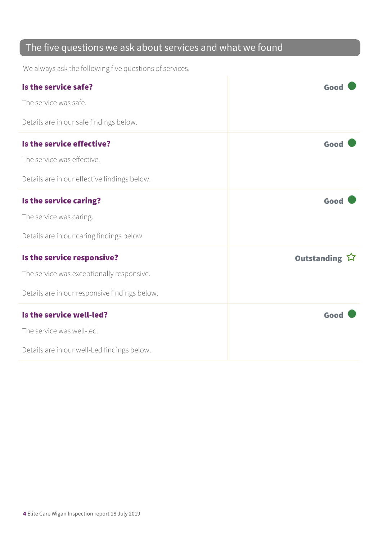### The five questions we ask about services and what we found

We always ask the following five questions of services.

| Is the service safe?<br>The service was safe.                                                                            | Good          |
|--------------------------------------------------------------------------------------------------------------------------|---------------|
| Details are in our safe findings below.<br>Is the service effective?                                                     | Good          |
| The service was effective.<br>Details are in our effective findings below.                                               |               |
| Is the service caring?<br>The service was caring.<br>Details are in our caring findings below.                           | Good          |
| Is the service responsive?<br>The service was exceptionally responsive.<br>Details are in our responsive findings below. | Outstanding ☆ |
| Is the service well-led?<br>The service was well-led.<br>Details are in our well-Led findings below.                     | Good          |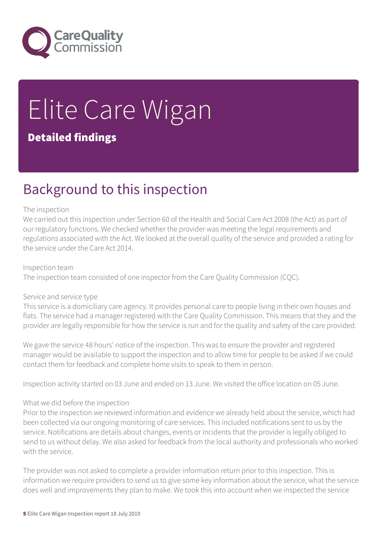

# Elite Care Wigan

#### Detailed findings

### Background to this inspection

#### The inspection

We carried out this inspection under Section 60 of the Health and Social Care Act 2008 (the Act) as part of our regulatory functions. We checked whether the provider was meeting the legal requirements and regulations associated with the Act. We looked at the overall quality of the service and provided a rating for the service under the Care Act 2014.

Inspection team The inspection team consisted of one inspector from the Care Quality Commission (CQC).

#### Service and service type

This service is a domiciliary care agency. It provides personal care to people living in their own houses and flats. The service had a manager registered with the Care Quality Commission. This means that they and the provider are legally responsible for how the service is run and for the quality and safety of the care provided.

We gave the service 48 hours' notice of the inspection. This was to ensure the provider and registered manager would be available to support the inspection and to allow time for people to be asked if we could contact them for feedback and complete home visits to speak to them in person.

Inspection activity started on 03 June and ended on 13 June. We visited the office location on 05 June.

#### What we did before the inspection

Prior to the inspection we reviewed information and evidence we already held about the service, which had been collected via our ongoing monitoring of care services. This included notifications sent to us by the service. Notifications are details about changes, events or incidents that the provider is legally obliged to send to us without delay. We also asked for feedback from the local authority and professionals who worked with the service.

The provider was not asked to complete a provider information return prior to this inspection. This is information we require providers to send us to give some key information about the service, what the service does well and improvements they plan to make. We took this into account when we inspected the service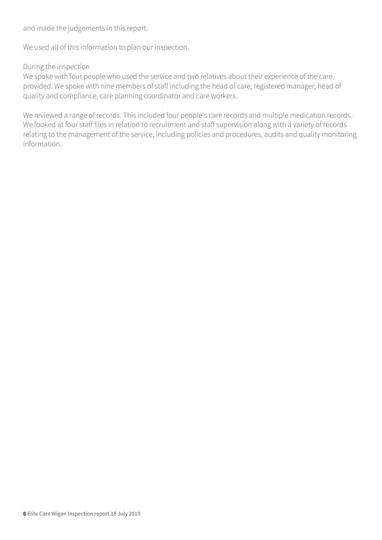and made the judgements in this report.

We used all of this information to plan our inspection.

#### During the inspection

We spoke with four people who used the service and two relatives about their experience of the care provided. We spoke with nine members of staff including the head of care, registered manager, head of quality and compliance, care planning coordinator and care workers.

We reviewed a range of records. This included four people's care records and multiple medication records. We looked at four staff files in relation to recruitment and staff supervision along with a variety of records relating to the management of the service, including policies and procedures, audits and quality monitoring information.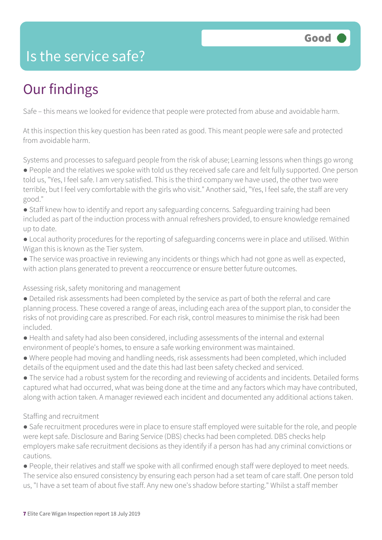### Is the service safe?

### Our findings

Safe – this means we looked for evidence that people were protected from abuse and avoidable harm.

At this inspection this key question has been rated as good. This meant people were safe and protected from avoidable harm.

Systems and processes to safeguard people from the risk of abuse; Learning lessons when things go wrong ● People and the relatives we spoke with told us they received safe care and felt fully supported. One person

told us, "Yes, I feel safe. I am very satisfied. This is the third company we have used, the other two were terrible, but I feel very comfortable with the girls who visit." Another said, "Yes, I feel safe, the staff are very good."

● Staff knew how to identify and report any safeguarding concerns. Safeguarding training had been included as part of the induction process with annual refreshers provided, to ensure knowledge remained up to date.

● Local authority procedures for the reporting of safeguarding concerns were in place and utilised. Within Wigan this is known as the Tier system.

● The service was proactive in reviewing any incidents or things which had not gone as well as expected, with action plans generated to prevent a reoccurrence or ensure better future outcomes.

Assessing risk, safety monitoring and management

- Detailed risk assessments had been completed by the service as part of both the referral and care planning process. These covered a range of areas, including each area of the support plan, to consider the risks of not providing care as prescribed. For each risk, control measures to minimise the risk had been included.
- Health and safety had also been considered, including assessments of the internal and external environment of people's homes, to ensure a safe working environment was maintained.
- Where people had moving and handling needs, risk assessments had been completed, which included details of the equipment used and the date this had last been safety checked and serviced.
- The service had a robust system for the recording and reviewing of accidents and incidents. Detailed forms captured what had occurred, what was being done at the time and any factors which may have contributed, along with action taken. A manager reviewed each incident and documented any additional actions taken.

#### Staffing and recruitment

• Safe recruitment procedures were in place to ensure staff employed were suitable for the role, and people were kept safe. Disclosure and Baring Service (DBS) checks had been completed. DBS checks help employers make safe recruitment decisions as they identify if a person has had any criminal convictions or cautions.

● People, their relatives and staff we spoke with all confirmed enough staff were deployed to meet needs. The service also ensured consistency by ensuring each person had a set team of care staff. One person told us, "I have a set team of about five staff. Any new one's shadow before starting." Whilst a staff member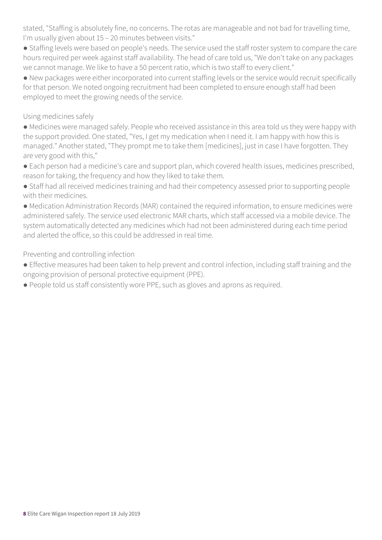stated, "Staffing is absolutely fine, no concerns. The rotas are manageable and not bad for travelling time, I'm usually given about 15 – 20 minutes between visits."

● Staffing levels were based on people's needs. The service used the staff roster system to compare the care hours required per week against staff availability. The head of care told us, "We don't take on any packages we cannot manage. We like to have a 50 percent ratio, which is two staff to every client."

● New packages were either incorporated into current staffing levels or the service would recruit specifically for that person. We noted ongoing recruitment had been completed to ensure enough staff had been employed to meet the growing needs of the service.

#### Using medicines safely

● Medicines were managed safely. People who received assistance in this area told us they were happy with the support provided. One stated, "Yes, I get my medication when I need it. I am happy with how this is managed." Another stated, "They prompt me to take them [medicines], just in case I have forgotten. They are very good with this,"

- Each person had a medicine's care and support plan, which covered health issues, medicines prescribed, reason for taking, the frequency and how they liked to take them.
- Staff had all received medicines training and had their competency assessed prior to supporting people with their medicines.

● Medication Administration Records (MAR) contained the required information, to ensure medicines were administered safely. The service used electronic MAR charts, which staff accessed via a mobile device. The system automatically detected any medicines which had not been administered during each time period and alerted the office, so this could be addressed in real time.

#### Preventing and controlling infection

- Effective measures had been taken to help prevent and control infection, including staff training and the ongoing provision of personal protective equipment (PPE).
- People told us staff consistently wore PPE, such as gloves and aprons as required.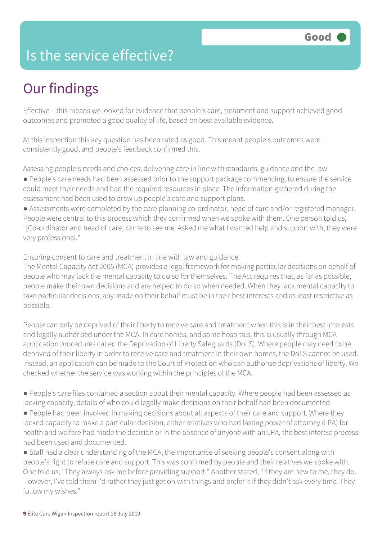### Is the service effective?

### Our findings

Effective – this means we looked for evidence that people's care, treatment and support achieved good outcomes and promoted a good quality of life, based on best available evidence.

At this inspection this key question has been rated as good. This meant people's outcomes were consistently good, and people's feedback confirmed this.

Assessing people's needs and choices; delivering care in line with standards, guidance and the law ● People's care needs had been assessed prior to the support package commencing, to ensure the service could meet their needs and had the required resources in place. The information gathered during the assessment had been used to draw up people's care and support plans.

● Assessments were completed by the care planning co-ordinator, head of care and/or registered manager. People were central to this process which they confirmed when we spoke with them. One person told us, "[Co-ordinator and head of care] came to see me. Asked me what I wanted help and support with, they were very professional."

Ensuring consent to care and treatment in line with law and guidance

The Mental Capacity Act 2005 (MCA) provides a legal framework for making particular decisions on behalf of people who may lack the mental capacity to do so for themselves. The Act requires that, as far as possible, people make their own decisions and are helped to do so when needed. When they lack mental capacity to take particular decisions, any made on their behalf must be in their best interests and as least restrictive as possible.

People can only be deprived of their liberty to receive care and treatment when this is in their best interests and legally authorised under the MCA. In care homes, and some hospitals, this is usually through MCA application procedures called the Deprivation of Liberty Safeguards (DoLS). Where people may need to be deprived of their liberty in order to receive care and treatment in their own homes, the DoLS cannot be used. Instead, an application can be made to the Court of Protection who can authorise deprivations of liberty. We checked whether the service was working within the principles of the MCA.

● People's care files contained a section about their mental capacity. Where people had been assessed as lacking capacity, details of who could legally make decisions on their behalf had been documented.

● People had been involved in making decisions about all aspects of their care and support. Where they lacked capacity to make a particular decision, either relatives who had lasting power of attorney (LPA) for health and welfare had made the decision or in the absence of anyone with an LPA, the best interest process had been used and documented.

● Staff had a clear understanding of the MCA, the importance of seeking people's consent along with people's right to refuse care and support. This was confirmed by people and their relatives we spoke with. One told us, "They always ask me before providing support." Another stated, "If they are new to me, they do. However, I've told them I'd rather they just get on with things and prefer it if they didn't ask every time. They follow my wishes."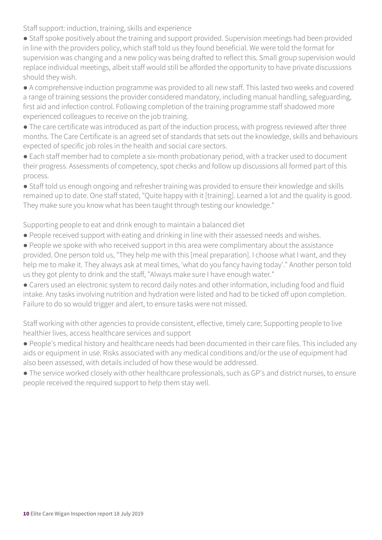Staff support: induction, training, skills and experience

- Staff spoke positively about the training and support provided. Supervision meetings had been provided in line with the providers policy, which staff told us they found beneficial. We were told the format for supervision was changing and a new policy was being drafted to reflect this. Small group supervision would replace individual meetings, albeit staff would still be afforded the opportunity to have private discussions should they wish.
- A comprehensive induction programme was provided to all new staff. This lasted two weeks and covered a range of training sessions the provider considered mandatory, including manual handling, safeguarding, first aid and infection control. Following completion of the training programme staff shadowed more experienced colleagues to receive on the job training.
- The care certificate was introduced as part of the induction process, with progress reviewed after three months. The Care Certificate is an agreed set of standards that sets out the knowledge, skills and behaviours expected of specific job roles in the health and social care sectors.
- Each staff member had to complete a six-month probationary period, with a tracker used to document their progress. Assessments of competency, spot checks and follow up discussions all formed part of this process.
- Staff told us enough ongoing and refresher training was provided to ensure their knowledge and skills remained up to date. One staff stated, "Quite happy with it [training]. Learned a lot and the quality is good. They make sure you know what has been taught through testing our knowledge."

Supporting people to eat and drink enough to maintain a balanced diet

- People received support with eating and drinking in line with their assessed needs and wishes.
- People we spoke with who received support in this area were complimentary about the assistance provided. One person told us, "They help me with this [meal preparation]. I choose what I want, and they help me to make it. They always ask at meal times, 'what do you fancy having today'." Another person told us they got plenty to drink and the staff, "Always make sure I have enough water."
- Carers used an electronic system to record daily notes and other information, including food and fluid intake. Any tasks involving nutrition and hydration were listed and had to be ticked off upon completion. Failure to do so would trigger and alert, to ensure tasks were not missed.

Staff working with other agencies to provide consistent, effective, timely care; Supporting people to live healthier lives, access healthcare services and support

- People's medical history and healthcare needs had been documented in their care files. This included any aids or equipment in use. Risks associated with any medical conditions and/or the use of equipment had also been assessed, with details included of how these would be addressed.
- The service worked closely with other healthcare professionals, such as GP's and district nurses, to ensure people received the required support to help them stay well.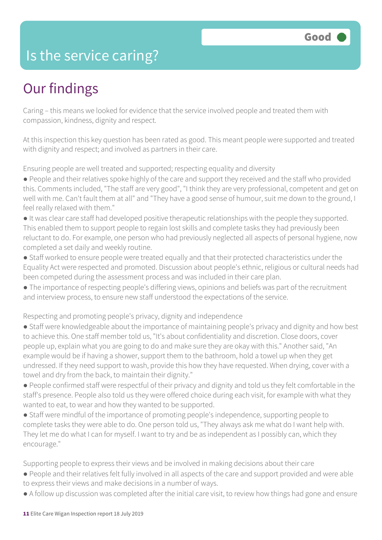### Is the service caring?

### Our findings

Caring – this means we looked for evidence that the service involved people and treated them with compassion, kindness, dignity and respect.

At this inspection this key question has been rated as good. This meant people were supported and treated with dignity and respect; and involved as partners in their care.

Ensuring people are well treated and supported; respecting equality and diversity

- People and their relatives spoke highly of the care and support they received and the staff who provided this. Comments included, "The staff are very good", "I think they are very professional, competent and get on well with me. Can't fault them at all" and "They have a good sense of humour, suit me down to the ground, I feel really relaxed with them."
- It was clear care staff had developed positive therapeutic relationships with the people they supported. This enabled them to support people to regain lost skills and complete tasks they had previously been reluctant to do. For example, one person who had previously neglected all aspects of personal hygiene, now completed a set daily and weekly routine.
- Staff worked to ensure people were treated equally and that their protected characteristics under the Equality Act were respected and promoted. Discussion about people's ethnic, religious or cultural needs had been competed during the assessment process and was included in their care plan.
- The importance of respecting people's differing views, opinions and beliefs was part of the recruitment and interview process, to ensure new staff understood the expectations of the service.

Respecting and promoting people's privacy, dignity and independence

- Staff were knowledgeable about the importance of maintaining people's privacy and dignity and how best to achieve this. One staff member told us, "It's about confidentiality and discretion. Close doors, cover people up, explain what you are going to do and make sure they are okay with this." Another said, "An example would be if having a shower, support them to the bathroom, hold a towel up when they get undressed. If they need support to wash, provide this how they have requested. When drying, cover with a towel and dry from the back, to maintain their dignity."
- People confirmed staff were respectful of their privacy and dignity and told us they felt comfortable in the staff's presence. People also told us they were offered choice during each visit, for example with what they wanted to eat, to wear and how they wanted to be supported.
- Staff were mindful of the importance of promoting people's independence, supporting people to complete tasks they were able to do. One person told us, "They always ask me what do I want help with. They let me do what I can for myself. I want to try and be as independent as I possibly can, which they encourage."

Supporting people to express their views and be involved in making decisions about their care

- People and their relatives felt fully involved in all aspects of the care and support provided and were able to express their views and make decisions in a number of ways.
- A follow up discussion was completed after the initial care visit, to review how things had gone and ensure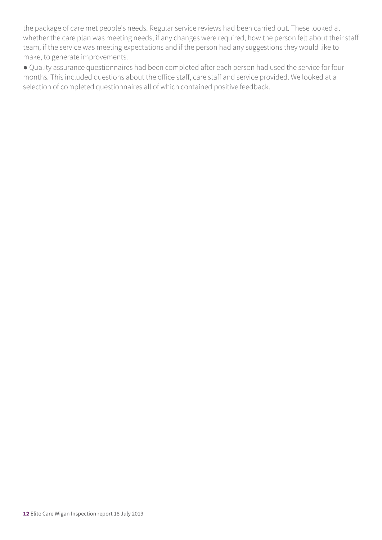the package of care met people's needs. Regular service reviews had been carried out. These looked at whether the care plan was meeting needs, if any changes were required, how the person felt about their staff team, if the service was meeting expectations and if the person had any suggestions they would like to make, to generate improvements.

● Quality assurance questionnaires had been completed after each person had used the service for four months. This included questions about the office staff, care staff and service provided. We looked at a selection of completed questionnaires all of which contained positive feedback.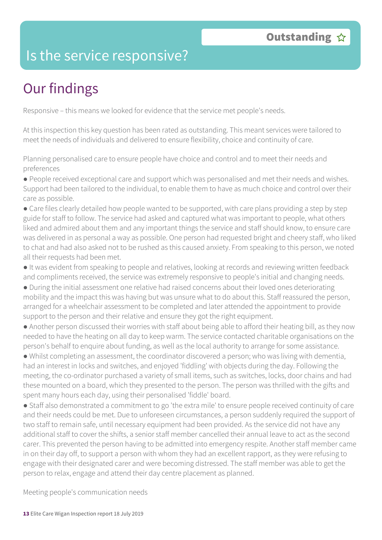### Is the service responsive?

### Our findings

Responsive – this means we looked for evidence that the service met people's needs.

At this inspection this key question has been rated as outstanding. This meant services were tailored to meet the needs of individuals and delivered to ensure flexibility, choice and continuity of care.

Planning personalised care to ensure people have choice and control and to meet their needs and preferences

● People received exceptional care and support which was personalised and met their needs and wishes. Support had been tailored to the individual, to enable them to have as much choice and control over their care as possible.

• Care files clearly detailed how people wanted to be supported, with care plans providing a step by step guide for staff to follow. The service had asked and captured what was important to people, what others liked and admired about them and any important things the service and staff should know, to ensure care was delivered in as personal a way as possible. One person had requested bright and cheery staff, who liked to chat and had also asked not to be rushed as this caused anxiety. From speaking to this person, we noted all their requests had been met.

● It was evident from speaking to people and relatives, looking at records and reviewing written feedback and compliments received, the service was extremely responsive to people's initial and changing needs.

● During the initial assessment one relative had raised concerns about their loved ones deteriorating mobility and the impact this was having but was unsure what to do about this. Staff reassured the person, arranged for a wheelchair assessment to be completed and later attended the appointment to provide support to the person and their relative and ensure they got the right equipment.

● Another person discussed their worries with staff about being able to afford their heating bill, as they now needed to have the heating on all day to keep warm. The service contacted charitable organisations on the person's behalf to enquire about funding, as well as the local authority to arrange for some assistance.

● Whilst completing an assessment, the coordinator discovered a person; who was living with dementia, had an interest in locks and switches, and enjoyed 'fiddling' with objects during the day. Following the meeting, the co-ordinator purchased a variety of small items, such as switches, locks, door chains and had these mounted on a board, which they presented to the person. The person was thrilled with the gifts and spent many hours each day, using their personalised 'fiddle' board.

● Staff also demonstrated a commitment to go 'the extra mile' to ensure people received continuity of care and their needs could be met. Due to unforeseen circumstances, a person suddenly required the support of two staff to remain safe, until necessary equipment had been provided. As the service did not have any additional staff to cover the shifts, a senior staff member cancelled their annual leave to act as the second carer. This prevented the person having to be admitted into emergency respite. Another staff member came in on their day off, to support a person with whom they had an excellent rapport, as they were refusing to engage with their designated carer and were becoming distressed. The staff member was able to get the person to relax, engage and attend their day centre placement as planned.

Meeting people's communication needs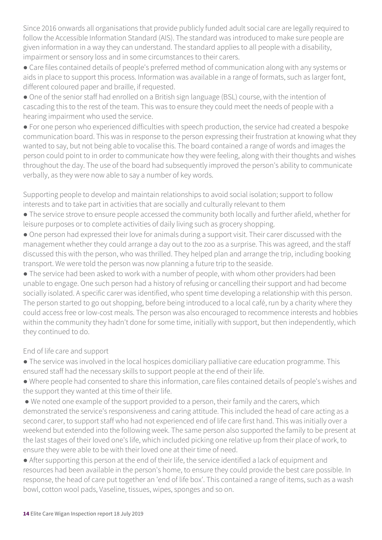Since 2016 onwards all organisations that provide publicly funded adult social care are legally required to follow the Accessible Information Standard (AIS). The standard was introduced to make sure people are given information in a way they can understand. The standard applies to all people with a disability, impairment or sensory loss and in some circumstances to their carers.

● Care files contained details of people's preferred method of communication along with any systems or aids in place to support this process. Information was available in a range of formats, such as larger font, different coloured paper and braille, if requested.

● One of the senior staff had enrolled on a British sign language (BSL) course, with the intention of cascading this to the rest of the team. This was to ensure they could meet the needs of people with a hearing impairment who used the service.

● For one person who experienced difficulties with speech production, the service had created a bespoke communication board. This was in response to the person expressing their frustration at knowing what they wanted to say, but not being able to vocalise this. The board contained a range of words and images the person could point to in order to communicate how they were feeling, along with their thoughts and wishes throughout the day. The use of the board had subsequently improved the person's ability to communicate verbally, as they were now able to say a number of key words.

Supporting people to develop and maintain relationships to avoid social isolation; support to follow interests and to take part in activities that are socially and culturally relevant to them

- The service strove to ensure people accessed the community both locally and further afield, whether for leisure purposes or to complete activities of daily living such as grocery shopping.
- One person had expressed their love for animals during a support visit. Their carer discussed with the management whether they could arrange a day out to the zoo as a surprise. This was agreed, and the staff discussed this with the person, who was thrilled. They helped plan and arrange the trip, including booking transport. We were told the person was now planning a future trip to the seaside.

• The service had been asked to work with a number of people, with whom other providers had been unable to engage. One such person had a history of refusing or cancelling their support and had become socially isolated. A specific carer was identified, who spent time developing a relationship with this person. The person started to go out shopping, before being introduced to a local café, run by a charity where they could access free or low-cost meals. The person was also encouraged to recommence interests and hobbies within the community they hadn't done for some time, initially with support, but then independently, which they continued to do.

End of life care and support

- The service was involved in the local hospices domiciliary palliative care education programme. This ensured staff had the necessary skills to support people at the end of their life.
- Where people had consented to share this information, care files contained details of people's wishes and the support they wanted at this time of their life.
- We noted one example of the support provided to a person, their family and the carers, which demonstrated the service's responsiveness and caring attitude. This included the head of care acting as a second carer, to support staff who had not experienced end of life care first hand. This was initially over a weekend but extended into the following week. The same person also supported the family to be present at the last stages of their loved one's life, which included picking one relative up from their place of work, to ensure they were able to be with their loved one at their time of need.

● After supporting this person at the end of their life, the service identified a lack of equipment and resources had been available in the person's home, to ensure they could provide the best care possible. In response, the head of care put together an 'end of life box'. This contained a range of items, such as a wash bowl, cotton wool pads, Vaseline, tissues, wipes, sponges and so on.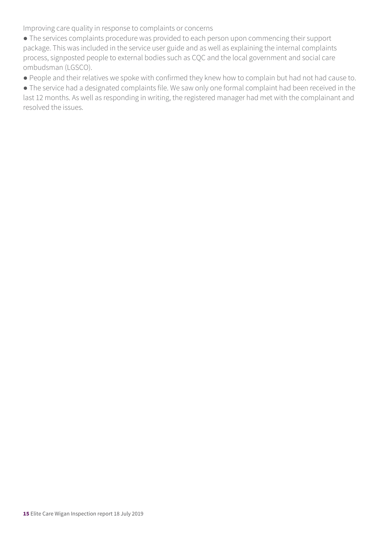Improving care quality in response to complaints or concerns

● The services complaints procedure was provided to each person upon commencing their support package. This was included in the service user guide and as well as explaining the internal complaints process, signposted people to external bodies such as CQC and the local government and social care ombudsman (LGSCO).

● People and their relatives we spoke with confirmed they knew how to complain but had not had cause to.

● The service had a designated complaints file. We saw only one formal complaint had been received in the last 12 months. As well as responding in writing, the registered manager had met with the complainant and resolved the issues.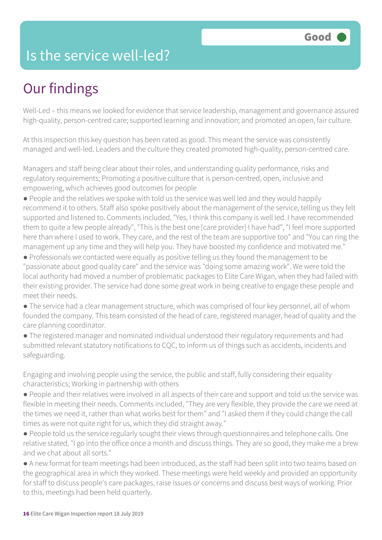### Is the service well-led?

### Our findings

Well-Led – this means we looked for evidence that service leadership, management and governance assured high-quality, person-centred care; supported learning and innovation; and promoted an open, fair culture.

At this inspection this key question has been rated as good. This meant the service was consistently managed and well-led. Leaders and the culture they created promoted high-quality, person-centred care.

Managers and staff being clear about their roles, and understanding quality performance, risks and regulatory requirements; Promoting a positive culture that is person-centred, open, inclusive and empowering, which achieves good outcomes for people

- People and the relatives we spoke with told us the service was well led and they would happily recommend it to others. Staff also spoke positively about the management of the service, telling us they felt supported and listened to. Comments included, "Yes, I think this company is well led. I have recommended them to quite a few people already", "This is the best one [care provider] I have had", "I feel more supported here than where I used to work. They care, and the rest of the team are supportive too" and "You can ring the management up any time and they will help you. They have boosted my confidence and motivated me."
- Professionals we contacted were equally as positive telling us they found the management to be "passionate about good quality care" and the service was "doing some amazing work". We were told the local authority had moved a number of problematic packages to Elite Care Wigan, when they had failed with their existing provider. The service had done some great work in being creative to engage these people and meet their needs.
- The service had a clear management structure, which was comprised of four key personnel, all of whom founded the company. This team consisted of the head of care, registered manager, head of quality and the care planning coordinator.
- The registered manager and nominated individual understood their regulatory requirements and had submitted relevant statutory notifications to CQC, to inform us of things such as accidents, incidents and safeguarding.

Engaging and involving people using the service, the public and staff, fully considering their equality characteristics; Working in partnership with others

- People and their relatives were involved in all aspects of their care and support and told us the service was flexible in meeting their needs. Comments included, "They are very flexible, they provide the care we need at the times we need it, rather than what works best for them" and "I asked them if they could change the call times as were not quite right for us, which they did straight away."
- People told us the service regularly sought their views through questionnaires and telephone calls. One relative stated, "I go into the office once a month and discuss things. They are so good, they make me a brew and we chat about all sorts."
- A new format for team meetings had been introduced, as the staff had been split into two teams based on the geographical area in which they worked. These meetings were held weekly and provided an opportunity for staff to discuss people's care packages, raise issues or concerns and discuss best ways of working. Prior to this, meetings had been held quarterly.